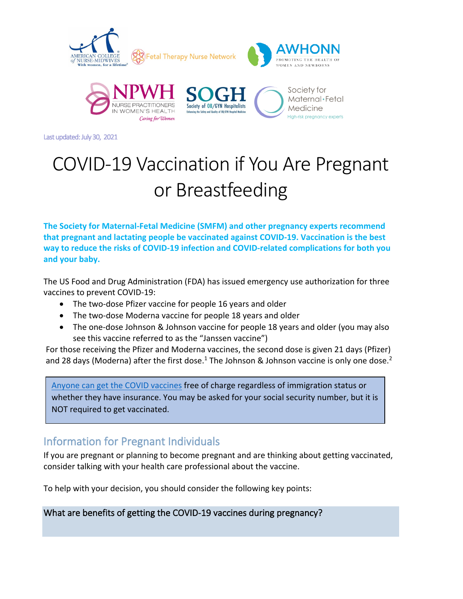

Last updated: July 30, 2021

# COVID-19 Vaccination if You Are Pregnant or Breastfeeding

**The Society for Maternal-Fetal Medicine (SMFM) and other pregnancy experts recommend that pregnant and lactating people be vaccinated against COVID-19. Vaccination is the best way to reduce the risks of COVID-19 infection and COVID-related complications for both you and your baby.**

The US Food and Drug Administration (FDA) has issued emergency use authorization for three vaccines to prevent COVID-19:

- The two-dose Pfizer vaccine for people 16 years and older
- The two-dose Moderna vaccine for people 18 years and older
- The one-dose Johnson & Johnson vaccine for people 18 years and older (you may also see this vaccine referred to as the "Janssen vaccine")

For those receiving the Pfizer and Moderna vaccines, the second dose is given 21 days (Pfizer) and 28 days (Moderna) after the first dose.<sup>1</sup> The Johnson & Johnson vaccine is only one dose.<sup>2</sup>

[Anyone can get the COVID vaccines](https://www.hhs.gov/sites/default/files/uninsured-patient-covid-services-poster.pdf) free of charge regardless of immigration status or whether they have insurance. You may be asked for your social security number, but it is NOT required to get vaccinated.

# Information for Pregnant Individuals

If you are pregnant or planning to become pregnant and are thinking about getting vaccinated, consider talking with your health care professional about the vaccine.

To help with your decision, you should consider the following key points:

What are benefits of getting the COVID-19 vaccines during pregnancy?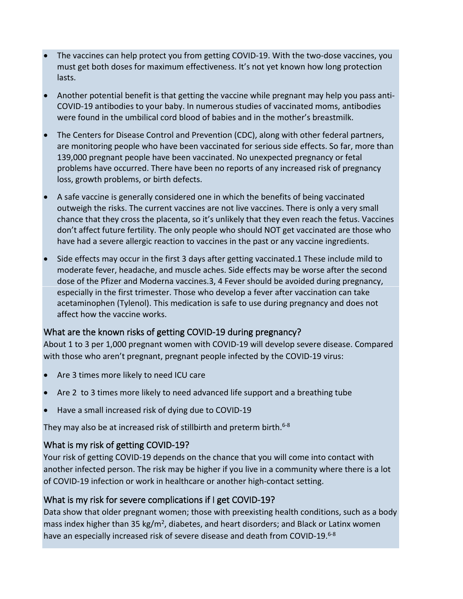- The vaccines can help protect you from getting COVID-19. With the two-dose vaccines, you must get both doses for maximum effectiveness. It's not yet known how long protection lasts.
- Another potential benefit is that getting the vaccine while pregnant may help you pass anti-COVID-19 antibodies to your baby. In numerous studies of vaccinated moms, antibodies were found in the umbilical cord blood of babies and in the mother's breastmilk.
- The Centers for Disease Control and Prevention (CDC), along with other federal partners, are monitoring people who have been vaccinated for serious side effects. So far, more than 139,000 pregnant people have been vaccinated. No unexpected pregnancy or fetal problems have occurred. There have been no reports of any increased risk of pregnancy loss, growth problems, or birth defects.
- A safe vaccine is generally considered one in which the benefits of being vaccinated outweigh the risks. The current vaccines are not live vaccines. There is only a very small chance that they cross the placenta, so it's unlikely that they even reach the fetus. Vaccines don't affect future fertility. The only people who should NOT get vaccinated are those who have had a severe allergic reaction to vaccines in the past or any vaccine ingredients.
- Side effects may occur in the first 3 days after getting vaccinated.1 These include mild to moderate fever, headache, and muscle aches. Side effects may be worse after the second dose of the Pfizer and Moderna vaccines.3, 4 Fever should be avoided during pregnancy, especially in the first trimester. Those who develop a fever after vaccination can take acetaminophen (Tylenol). This medication is safe to use during pregnancy and does not affect how the vaccine works.

### What are the known risks of getting COVID-19 during pregnancy?

About 1 to 3 per 1,000 pregnant women with COVID-19 will develop severe disease. Compared with those who aren't pregnant, pregnant people infected by the COVID-19 virus:

- Are 3 times more likely to need ICU care
- Are 2 to 3 times more likely to need advanced life support and a breathing tube
- Have a small increased risk of dying due to COVID-19

They may also be at increased risk of stillbirth and preterm birth.<sup>6-8</sup>

### What is my risk of getting COVID-19?

Your risk of getting COVID-19 depends on the chance that you will come into contact with another infected person. The risk may be higher if you live in a community where there is a lot of COVID-19 infection or work in healthcare or another high-contact setting.

### What is my risk for severe complications if I get COVID-19?

Data show that older pregnant women; those with preexisting health conditions, such as a body mass index higher than 35 kg/m<sup>2</sup>, diabetes, and heart disorders; and Black or Latinx women have an especially increased risk of severe disease and death from COVID-19.<sup>6-8</sup>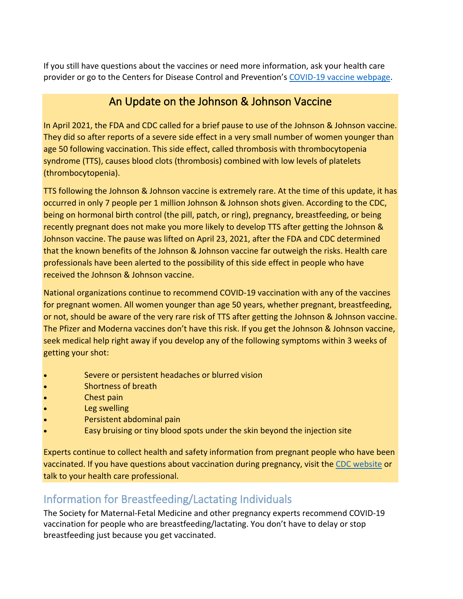If you still have questions about the vaccines or need more information, ask your health care provider or go to the Centers for Disease Control and Prevention's [COVID-19 vaccine](https://www.cdc.gov/coronavirus/2019-ncov/vaccines/index.html) webpage.

## An Update on the Johnson & Johnson Vaccine

In April 2021, the FDA and CDC called for a brief pause to use of the Johnson & Johnson vaccine. They did so after reports of a severe side effect in a very small number of women younger than age 50 following vaccination. This side effect, called thrombosis with thrombocytopenia syndrome (TTS), causes blood clots (thrombosis) combined with low levels of platelets (thrombocytopenia).

TTS following the Johnson & Johnson vaccine is extremely rare. At the time of this update, it has occurred in only 7 people per 1 million Johnson & Johnson shots given. According to the CDC, being on hormonal birth control (the pill, patch, or ring), pregnancy, breastfeeding, or being recently pregnant does not make you more likely to develop TTS after getting the Johnson & Johnson vaccine. The pause was lifted on April 23, 2021, after the FDA and CDC determined that the known benefits of the Johnson & Johnson vaccine far outweigh the risks. Health care professionals have been alerted to the possibility of this side effect in people who have received the Johnson & Johnson vaccine.

National organizations continue to recommend COVID-19 vaccination with any of the vaccines for pregnant women. All women younger than age 50 years, whether pregnant, breastfeeding, or not, should be aware of the very rare risk of TTS after getting the Johnson & Johnson vaccine. The Pfizer and Moderna vaccines don't have this risk. If you get the Johnson & Johnson vaccine, seek medical help right away if you develop any of the following symptoms within 3 weeks of getting your shot:

- Severe or persistent headaches or blurred vision
- Shortness of breath
- Chest pain
- Leg swelling
- Persistent abdominal pain
- Easy bruising or tiny blood spots under the skin beyond the injection site

Experts continue to collect health and safety information from pregnant people who have been vaccinated. If you have questions about vaccination during pregnancy, visit the [CDC website](https://www.cdc.gov/coronavirus/2019-ncov/vaccines/safety/JJUpdate.html#symptoms-list) or talk to your health care professional.

# Information for Breastfeeding/Lactating Individuals

The Society for Maternal-Fetal Medicine and other pregnancy experts recommend COVID-19 vaccination for people who are breastfeeding/lactating. You don't have to delay or stop breastfeeding just because you get vaccinated.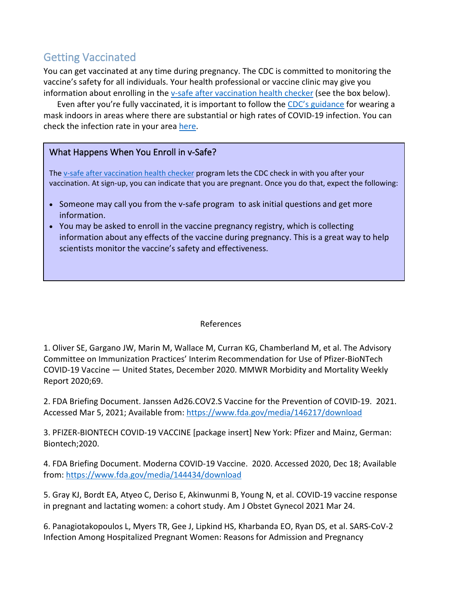# Getting Vaccinated

You can get vaccinated at any time during pregnancy. The CDC is committed to monitoring the vaccine's safety for all individuals. Your health professional or vaccine clinic may give you information about enrolling in the [v-safe after vaccination health checker](https://www.cdc.gov/coronavirus/2019-ncov/vaccines/index.html) (see the box below).

Even after you're fully vaccinated, it is important to follow the [CDC's guidance](https://www.cdc.gov/coronavirus/2019-ncov/vaccines/fully-vaccinated.html) for wearing a mask indoors in areas where there are substantial or high rates of COVID-19 infection. You can check the infection rate in your area [here.](https://covid.cdc.gov/covid-data-tracker/#county-view)

#### What Happens When You Enroll in v-Safe?

The [v-safe after vaccination health checker](https://www.cdc.gov/coronavirus/2019-ncov/vaccines/index.html) program lets the CDC check in with you after your vaccination. At sign-up, you can indicate that you are pregnant. Once you do that, expect the following:

- Someone may call you from the v-safe program to ask initial questions and get more information.
- You may be asked to enroll in the vaccine pregnancy registry, which is collecting information about any effects of the vaccine during pregnancy. This is a great way to help scientists monitor the vaccine's safety and effectiveness.

#### References

1. Oliver SE, Gargano JW, Marin M, Wallace M, Curran KG, Chamberland M, et al. The Advisory Committee on Immunization Practices' Interim Recommendation for Use of Pfizer-BioNTech COVID-19 Vaccine — United States, December 2020. MMWR Morbidity and Mortality Weekly Report 2020;69.

2. FDA Briefing Document. Janssen Ad26.COV2.S Vaccine for the Prevention of COVID-19. 2021. Accessed Mar 5, 2021; Available from:<https://www.fda.gov/media/146217/download>

3. PFIZER-BIONTECH COVID-19 VACCINE [package insert] New York: Pfizer and Mainz, German: Biontech;2020.

4. FDA Briefing Document. Moderna COVID-19 Vaccine. 2020. Accessed 2020, Dec 18; Available from:<https://www.fda.gov/media/144434/download>

5. Gray KJ, Bordt EA, Atyeo C, Deriso E, Akinwunmi B, Young N, et al. COVID-19 vaccine response in pregnant and lactating women: a cohort study. Am J Obstet Gynecol 2021 Mar 24.

6. Panagiotakopoulos L, Myers TR, Gee J, Lipkind HS, Kharbanda EO, Ryan DS, et al. SARS-CoV-2 Infection Among Hospitalized Pregnant Women: Reasons for Admission and Pregnancy